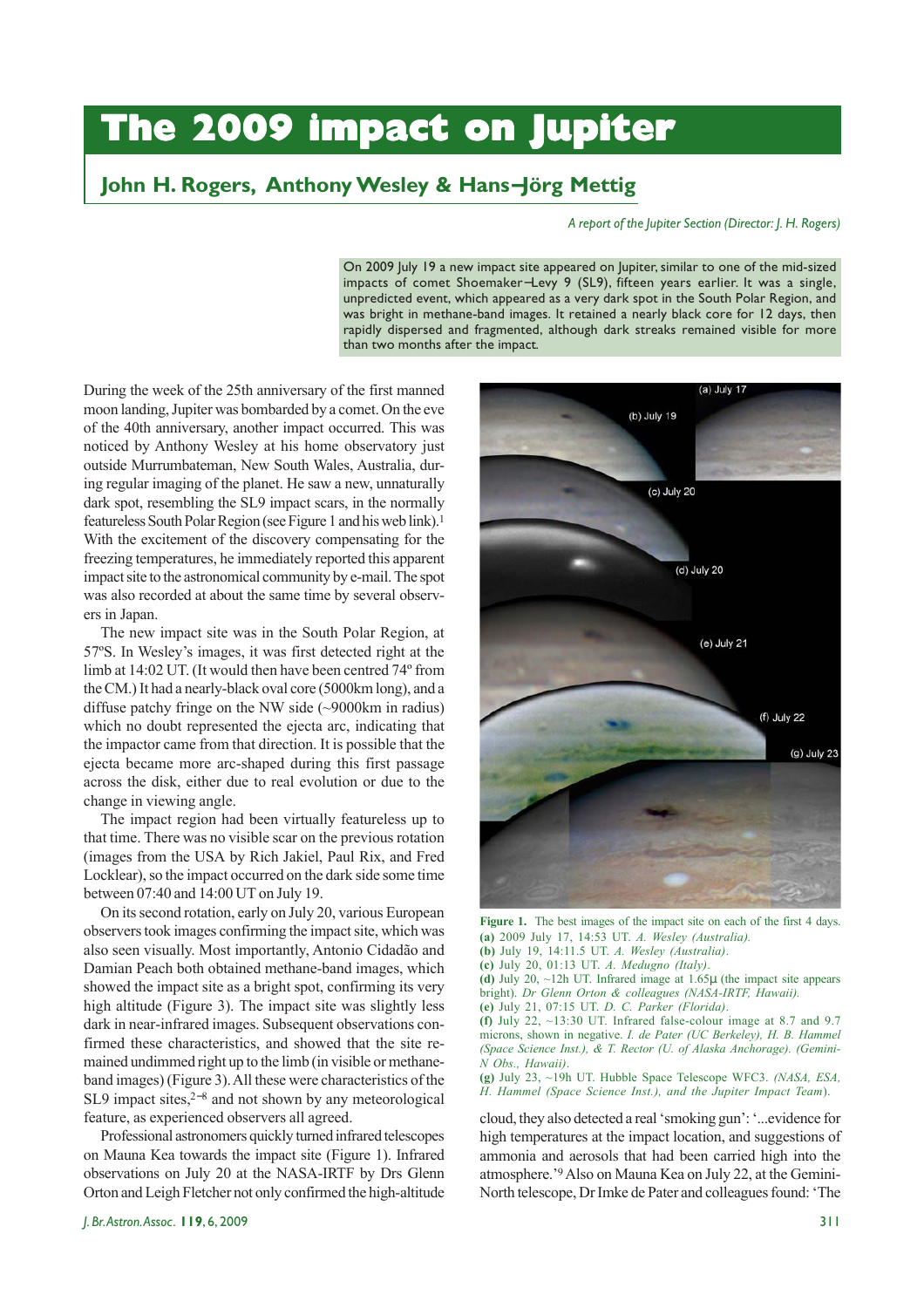# **The 2009 impact on Jupiter The 2009 impact on Jupiter**

## **John H. Rogers, Anthony Wesley & Hans**−**Jörg Mettig**

#### *A report of the Jupiter Section (Director: J. H. Rogers)*

On 2009 July 19 a new impact site appeared on Jupiter, similar to one of the mid-sized impacts of comet Shoemaker−Levy 9 (SL9), fifteen years earlier. It was a single, unpredicted event, which appeared as a very dark spot in the South Polar Region, and was bright in methane-band images. It retained a nearly black core for 12 days, then rapidly dispersed and fragmented, although dark streaks remained visible for more than two months after the impact*.*

During the week of the 25th anniversary of the first manned moon landing, Jupiter was bombarded by a comet. On the eve of the 40th anniversary, another impact occurred. This was noticed by Anthony Wesley at his home observatory just outside Murrumbateman, New South Wales, Australia, during regular imaging of the planet. He saw a new, unnaturally dark spot, resembling the SL9 impact scars, in the normally featureless South Polar Region (see Figure 1 and his web link).1 With the excitement of the discovery compensating for the freezing temperatures, he immediately reported this apparent impact site to the astronomical community by e-mail. The spot was also recorded at about the same time by several observers in Japan.

The new impact site was in the South Polar Region, at 57ºS. In Wesley's images, it was first detected right at the limb at 14:02 UT. (It would then have been centred 74º from the CM.) It had a nearly-black oval core (5000km long), and a diffuse patchy fringe on the NW side (~9000km in radius) which no doubt represented the ejecta arc, indicating that the impactor came from that direction. It is possible that the ejecta became more arc-shaped during this first passage across the disk, either due to real evolution or due to the change in viewing angle.

The impact region had been virtually featureless up to that time. There was no visible scar on the previous rotation (images from the USA by Rich Jakiel, Paul Rix, and Fred Locklear), so the impact occurred on the dark side some time between 07:40 and 14:00 UT on July 19.

On its second rotation, early on July 20, various European observers took images confirming the impact site, which was also seen visually. Most importantly, Antonio Cidadão and Damian Peach both obtained methane-band images, which showed the impact site as a bright spot, confirming its very high altitude (Figure 3). The impact site was slightly less dark in near-infrared images. Subsequent observations confirmed these characteristics, and showed that the site remained undimmed right up to the limb (in visible or methaneband images) (Figure 3). All these were characteristics of the SL9 impact sites,<sup>2−8</sup> and not shown by any meteorological feature, as experienced observers all agreed.

Professional astronomers quickly turned infrared telescopes on Mauna Kea towards the impact site (Figure 1). Infrared observations on July 20 at the NASA-IRTF by Drs Glenn Orton and Leigh Fletcher not only confirmed the high-altitude



**Figure 1.** The best images of the impact site on each of the first 4 days. **(a)** 2009 July 17, 14:53 UT. *A. Wesley (Australia).*

- **(b)** July 19, 14:11.5 UT. *A. Wesley (Australia)*.
- **(c)** July 20, 01:13 UT. *A. Medugno (Italy)*.
- **(d)** July 20, ~12h UT. Infrared image at 1.65µ (the impact site appears bright). *Dr Glenn Orton & colleagues (NASA-IRTF, Hawaii).*
- **(e)** July 21, 07:15 UT. *D. C. Parker (Florida)*.
- **(f)** July 22, ~13:30 UT. Infrared false-colour image at 8.7 and 9.7 microns, shown in negative. *I. de Pater (UC Berkeley), H. B. Hammel (Space Science Inst.), & T. Rector (U. of Alaska Anchorage). (Gemini-N Obs., Hawaii)*.

**(g)** July 23, ~19h UT. Hubble Space Telescope WFC3. *(NASA, ESA, H. Hammel (Space Science Inst.), and the Jupiter Impact Team*).

cloud, they also detected a real 'smoking gun': '...evidence for high temperatures at the impact location, and suggestions of ammonia and aerosols that had been carried high into the atmosphere.'9 Also on Mauna Kea on July 22, at the Gemini-North telescope, Dr Imke de Pater and colleagues found: 'The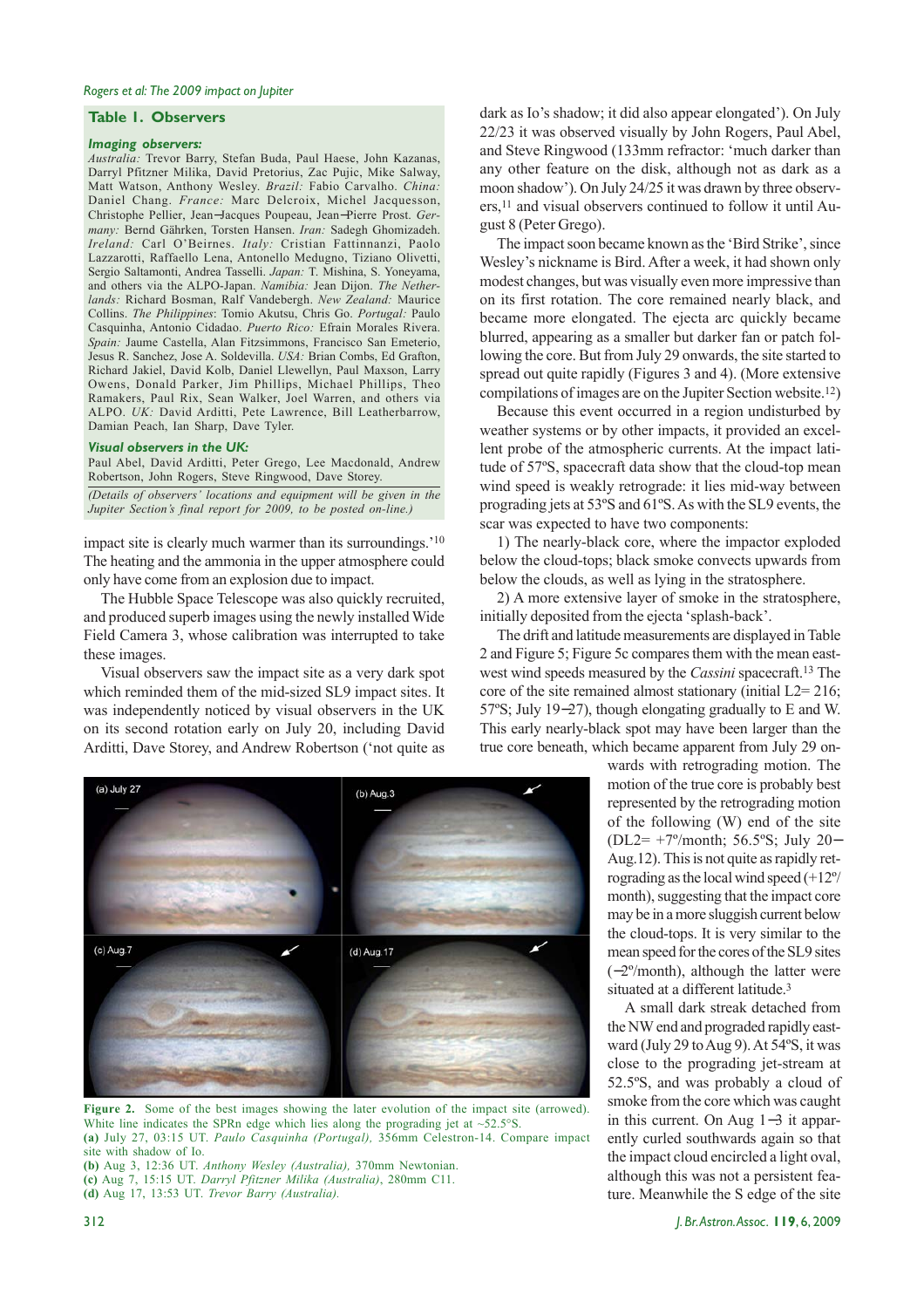#### **Table 1. Observers**

#### *Imaging observers:*

*Australia:* Trevor Barry, Stefan Buda, Paul Haese, John Kazanas, Darryl Pfitzner Milika, David Pretorius, Zac Pujic, Mike Salway, Matt Watson, Anthony Wesley. *Brazil:* Fabio Carvalho. *China:* Daniel Chang. *France:* Marc Delcroix, Michel Jacquesson, Christophe Pellier, Jean−Jacques Poupeau, Jean−Pierre Prost. *Germany:* Bernd Gährken, Torsten Hansen. *Iran:* Sadegh Ghomizadeh. *Ireland:* Carl O'Beirnes. *Italy:* Cristian Fattinnanzi, Paolo Lazzarotti, Raffaello Lena, Antonello Medugno, Tiziano Olivetti, Sergio Saltamonti, Andrea Tasselli. *Japan:* T. Mishina, S. Yoneyama, and others via the ALPO-Japan. *Namibia:* Jean Dijon. *The Netherlands:* Richard Bosman, Ralf Vandebergh. *New Zealand:* Maurice Collins. *The Philippines*: Tomio Akutsu, Chris Go. *Portugal:* Paulo Casquinha, Antonio Cidadao. *Puerto Rico:* Efrain Morales Rivera. *Spain:* Jaume Castella, Alan Fitzsimmons, Francisco San Emeterio, Jesus R. Sanchez, Jose A. Soldevilla. *USA:* Brian Combs, Ed Grafton, Richard Jakiel, David Kolb, Daniel Llewellyn, Paul Maxson, Larry Owens, Donald Parker, Jim Phillips, Michael Phillips, Theo Ramakers, Paul Rix, Sean Walker, Joel Warren, and others via ALPO. *UK:* David Arditti, Pete Lawrence, Bill Leatherbarrow, Damian Peach, Ian Sharp, Dave Tyler.

#### *Visual observers in the UK:*

Paul Abel, David Arditti, Peter Grego, Lee Macdonald, Andrew Robertson, John Rogers, Steve Ringwood, Dave Storey.

*(Details of observers' locations and equipment will be given in the Jupiter Section's final report for 2009, to be posted on-line.)*

impact site is clearly much warmer than its surroundings.'10 The heating and the ammonia in the upper atmosphere could only have come from an explosion due to impact.

The Hubble Space Telescope was also quickly recruited, and produced superb images using the newly installed Wide Field Camera 3, whose calibration was interrupted to take these images.

Visual observers saw the impact site as a very dark spot which reminded them of the mid-sized SL9 impact sites. It was independently noticed by visual observers in the UK on its second rotation early on July 20, including David Arditti, Dave Storey, and Andrew Robertson ('not quite as

 $(a)$  July  $27$  $(b)$  Aug. $3$  $(c)$  Aug.7  $(d)$  Aug. 17

Figure 2. Some of the best images showing the later evolution of the impact site (arrowed). White line indicates the SPRn edge which lies along the prograding jet at ~52.5°S. **(a)** July 27, 03:15 UT. *Paulo Casquinha (Portugal),* 356mm Celestron-14. Compare impact site with shadow of Io. **(b)** Aug 3, 12:36 UT. *Anthony Wesley (Australia),* 370mm Newtonian.

**(c)** Aug 7, 15:15 UT. *Darryl Pfitzner Milika (Australia)*, 280mm C11. **(d)** Aug 17, 13:53 UT. *Trevor Barry (Australia).*

dark as Io's shadow; it did also appear elongated'). On July 22/23 it was observed visually by John Rogers, Paul Abel, and Steve Ringwood (133mm refractor: 'much darker than any other feature on the disk, although not as dark as a moon shadow'). On July 24/25 it was drawn by three observers,11 and visual observers continued to follow it until August 8 (Peter Grego).

The impact soon became known as the 'Bird Strike', since Wesley's nickname is Bird. After a week, it had shown only modest changes, but was visually even more impressive than on its first rotation. The core remained nearly black, and became more elongated. The ejecta arc quickly became blurred, appearing as a smaller but darker fan or patch following the core. But from July 29 onwards, the site started to spread out quite rapidly (Figures 3 and 4). (More extensive compilations of images are on the Jupiter Section website.12)

Because this event occurred in a region undisturbed by weather systems or by other impacts, it provided an excellent probe of the atmospheric currents. At the impact latitude of 57ºS, spacecraft data show that the cloud-top mean wind speed is weakly retrograde: it lies mid-way between prograding jets at 53ºS and 61ºS. As with the SL9 events, the scar was expected to have two components:

1) The nearly-black core, where the impactor exploded below the cloud-tops; black smoke convects upwards from below the clouds, as well as lying in the stratosphere.

2) A more extensive layer of smoke in the stratosphere, initially deposited from the ejecta 'splash-back'.

The drift and latitude measurements are displayed in Table 2 and Figure 5; Figure 5c compares them with the mean eastwest wind speeds measured by the *Cassini* spacecraft.13 The core of the site remained almost stationary (initial  $L2=216$ ; 57ºS; July 19−27), though elongating gradually to E and W. This early nearly-black spot may have been larger than the true core beneath, which became apparent from July 29 on-

> wards with retrograding motion. The motion of the true core is probably best represented by the retrograding motion of the following (W) end of the site (DL2= +7º/month; 56.5ºS; July 20− Aug.12). This is not quite as rapidly retrograding as the local wind speed (+12º/ month), suggesting that the impact core may be in a more sluggish current below the cloud-tops. It is very similar to the mean speed for the cores of the SL9 sites (−2º/month), although the latter were situated at a different latitude.<sup>3</sup>

> A small dark streak detached from the NW end and prograded rapidly eastward (July 29 to Aug 9). At 54ºS, it was close to the prograding jet-stream at 52.5ºS, and was probably a cloud of smoke from the core which was caught in this current. On Aug 1−3 it apparently curled southwards again so that the impact cloud encircled a light oval, although this was not a persistent feature. Meanwhile the S edge of the site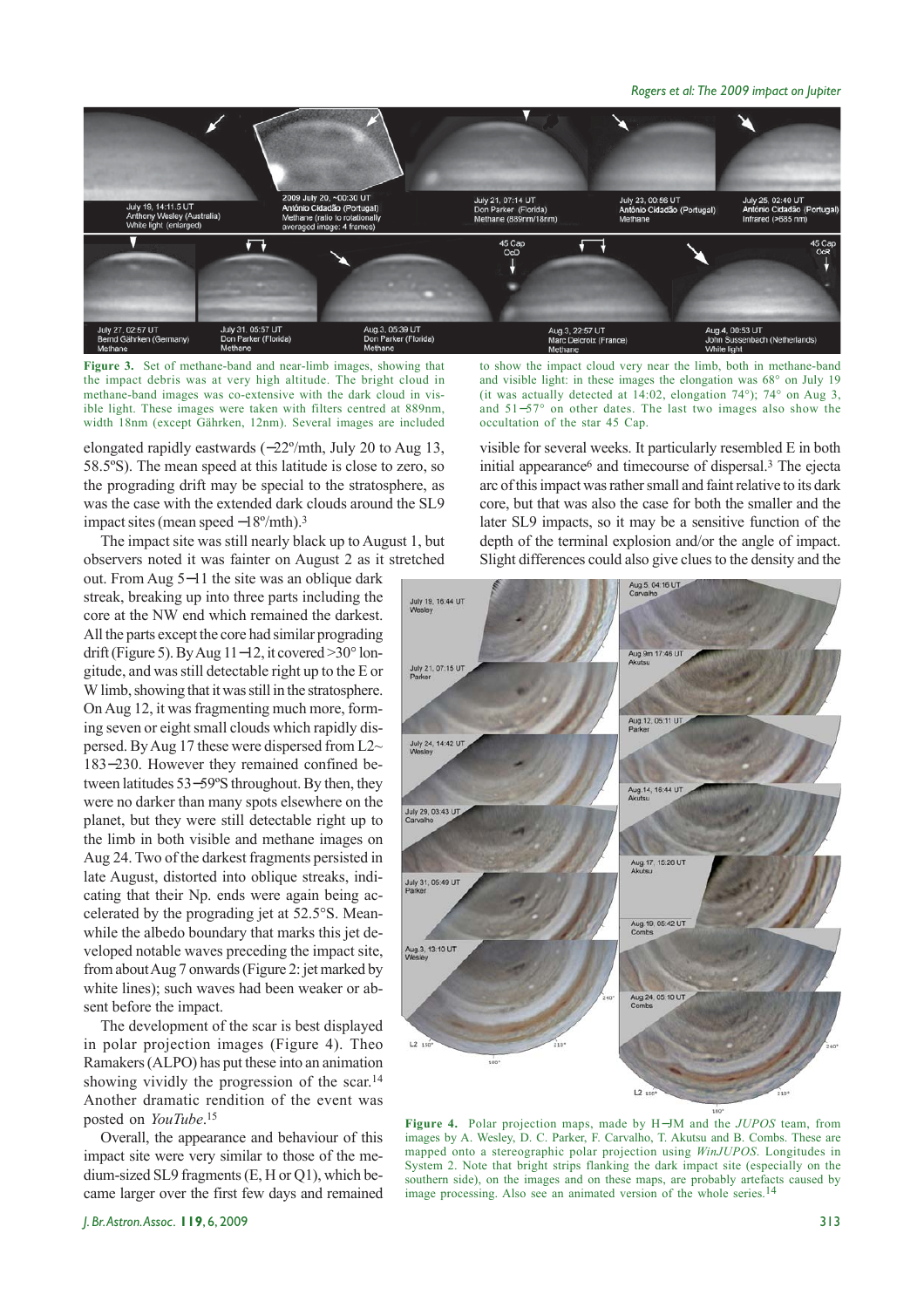*Rogers et al: The 2009 impact on Jupiter*



**Figure 3.** Set of methane-band and near-limb images, showing that the impact debris was at very high altitude. The bright cloud in methane-band images was co-extensive with the dark cloud in visible light. These images were taken with filters centred at 889nm, width 18nm (except Gährken, 12nm). Several images are included

elongated rapidly eastwards (−22º/mth, July 20 to Aug 13, 58.5ºS). The mean speed at this latitude is close to zero, so the prograding drift may be special to the stratosphere, as was the case with the extended dark clouds around the SL9 impact sites (mean speed −18º/mth).3

The impact site was still nearly black up to August 1, but observers noted it was fainter on August 2 as it stretched

out. From Aug 5−11 the site was an oblique dark streak, breaking up into three parts including the core at the NW end which remained the darkest. All the parts except the core had similar prograding drift (Figure 5). By Aug 11−12, it covered >30° longitude, and was still detectable right up to the E or W limb, showing that it was still in the stratosphere. On Aug 12, it was fragmenting much more, forming seven or eight small clouds which rapidly dispersed. By Aug 17 these were dispersed from  $L2\sim$ 183−230. However they remained confined between latitudes 53−59ºS throughout. By then, they were no darker than many spots elsewhere on the planet, but they were still detectable right up to the limb in both visible and methane images on Aug 24. Two of the darkest fragments persisted in late August, distorted into oblique streaks, indicating that their Np. ends were again being accelerated by the prograding jet at 52.5°S. Meanwhile the albedo boundary that marks this jet developed notable waves preceding the impact site, from about Aug 7 onwards (Figure 2: jet marked by white lines); such waves had been weaker or absent before the impact.

The development of the scar is best displayed in polar projection images (Figure 4). Theo Ramakers (ALPO) has put these into an animation showing vividly the progression of the scar.14 Another dramatic rendition of the event was posted on *YouTube*.15

Overall, the appearance and behaviour of this impact site were very similar to those of the medium-sized SL9 fragments (E, H or Q1), which became larger over the first few days and remained to show the impact cloud very near the limb, both in methane-band and visible light: in these images the elongation was 68° on July 19 (it was actually detected at 14:02, elongation 74°); 74° on Aug 3, and 51−57° on other dates. The last two images also show the occultation of the star 45 Cap.

visible for several weeks. It particularly resembled E in both initial appearance<sup>6</sup> and timecourse of dispersal.<sup>3</sup> The ejecta arc of this impact was rather small and faint relative to its dark core, but that was also the case for both the smaller and the later SL9 impacts, so it may be a sensitive function of the depth of the terminal explosion and/or the angle of impact. Slight differences could also give clues to the density and the



**Figure 4.** Polar projection maps, made by H−JM and the *JUPOS* team, from images by A. Wesley, D. C. Parker, F. Carvalho, T. Akutsu and B. Combs. These are mapped onto a stereographic polar projection using *WinJUPOS*. Longitudes in System 2. Note that bright strips flanking the dark impact site (especially on the southern side), on the images and on these maps, are probably artefacts caused by image processing. Also see an animated version of the whole series.<sup>14</sup>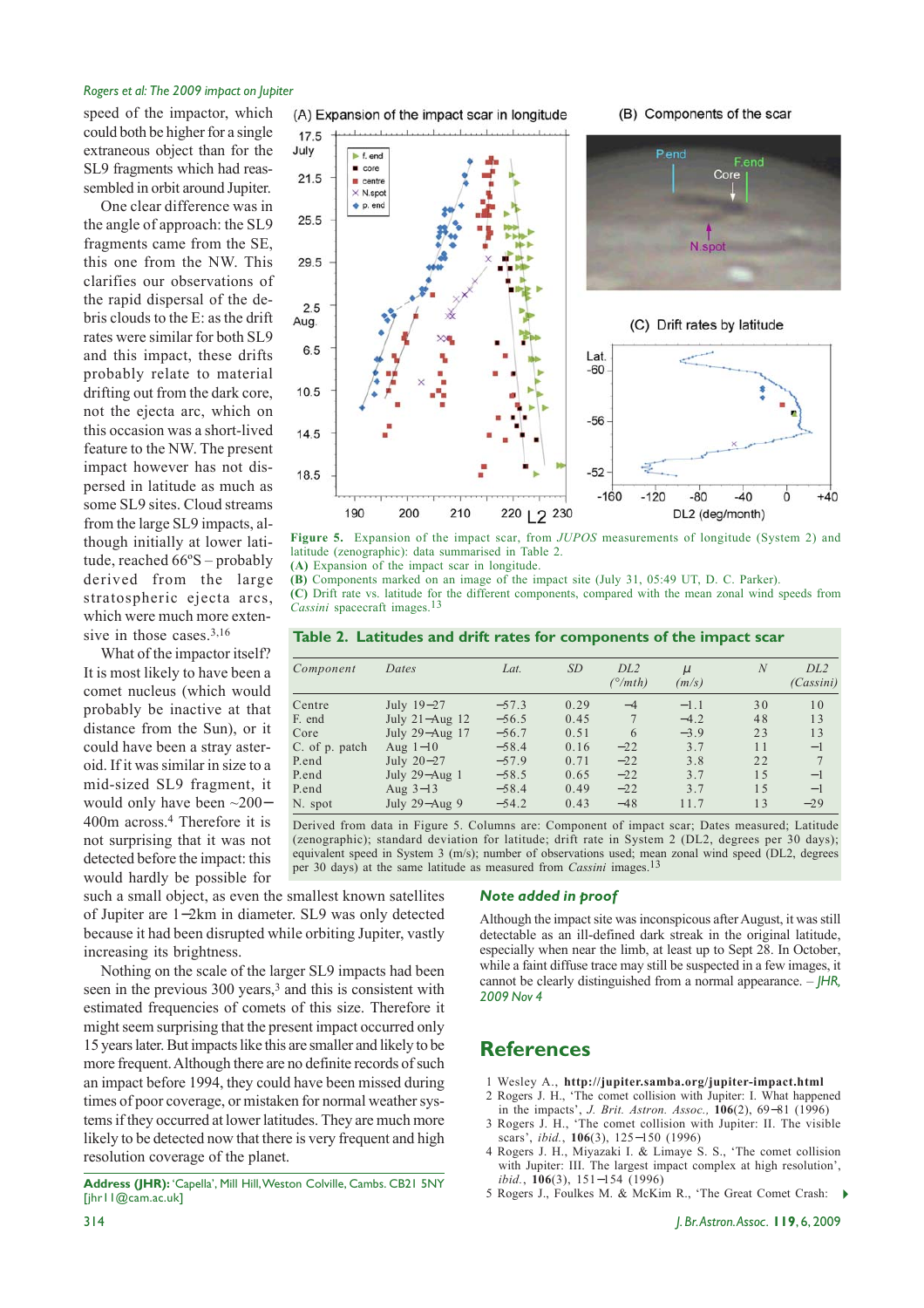#### *Rogers et al: The 2009 impact on Jupiter*

speed of the impactor, which could both be higher for a single extraneous object than for the SL9 fragments which had reassembled in orbit around Jupiter.

One clear difference was in the angle of approach: the SL9 fragments came from the SE, this one from the NW. This clarifies our observations of the rapid dispersal of the debris clouds to the E: as the drift rates were similar for both SL9 and this impact, these drifts probably relate to material drifting out from the dark core, not the ejecta arc, which on this occasion was a short-lived feature to the NW. The present impact however has not dispersed in latitude as much as some SL9 sites. Cloud streams from the large SL9 impacts, although initially at lower latitude, reached 66ºS – probably derived from the large stratospheric ejecta arcs, which were much more extensive in those cases.3,16

What of the impactor itself? It is most likely to have been a comet nucleus (which would probably be inactive at that distance from the Sun), or it could have been a stray asteroid. If it was similar in size to a mid-sized SL9 fragment, it would only have been ~200− 400m across.4 Therefore it is not surprising that it was not detected before the impact: this would hardly be possible for

17.5 July Pend  $\blacktriangleright$  f end Fend  $\blacksquare$  core  $\overline{C}$  $21F$  $\blacksquare$  centre  $\times$  N.spo  $p$ . end 25.5  $29.5$ 2.5 Aug (C) Drift rates by latitude 6.5  $l$  at  $-60$ 10.5  $-56$  $14.5$  $-52$ 18.5  $-160$  $-120$  $-80$  $-40$  $\dot{0}$  $+40$  $190$ 200 210 220 | 2 230 DL2 (deg/month)

**Figure 5.** Expansion of the impact scar, from *JUPOS* measurements of longitude (System 2) and latitude (zenographic): data summarised in Table 2.

**(A)** Expansion of the impact scar in longitude.

**(B)** Components marked on an image of the impact site (July 31, 05:49 UT, D. C. Parker).

**(C)** Drift rate vs. latitude for the different components, compared with the mean zonal wind speeds from Cassini spacecraft images.<sup>13</sup>

| Table 2. Latitudes and drift rates for components of the impact scar |  |  |
|----------------------------------------------------------------------|--|--|
|----------------------------------------------------------------------|--|--|

| Component      | Dates             | Lat.    | <i>SD</i> | DL <sub>2</sub><br>$\binom{\circ}{m}$ th) | $\mu$<br>(m/s) | $\overline{N}$ | DL <sub>2</sub><br>(Cassini) |
|----------------|-------------------|---------|-----------|-------------------------------------------|----------------|----------------|------------------------------|
| Centre         | July 19-27        | $-57.3$ | 0.29      | $-4$                                      | $-1.1$         | 30             | 10                           |
| F. end         | July 21-Aug 12    | $-56.5$ | 0.45      |                                           | $-4.2$         | 48             | 13                           |
| Core           | July 29-Aug 17    | $-56.7$ | 0.51      | 6                                         | $-3.9$         | 23             | 13                           |
| C. of p. patch | Aug $1-10$        | $-58.4$ | 0.16      | $-22$                                     | 3.7            | 11             | $-1$                         |
| P.end          | July 20-27        | $-57.9$ | 0.71      | $-22$                                     | 3.8            | 22             | $\overline{7}$               |
| P.end          | July $29 - Aug$ 1 | $-58.5$ | 0.65      | $-22$                                     | 3.7            | 1.5            | $-1$                         |
| P.end          | Aug $3-13$        | $-58.4$ | 0.49      | $-22$                                     | 37             | 1 <sub>5</sub> | $-1$                         |
| N. spot        | July $29 - Aug 9$ | $-54.2$ | 0.43      | $-48$                                     | 11.7           | 13             | $-29$                        |

Derived from data in Figure 5. Columns are: Component of impact scar; Dates measured; Latitude (zenographic); standard deviation for latitude; drift rate in System 2 (DL2, degrees per 30 days); equivalent speed in System 3 (m/s); number of observations used; mean zonal wind speed (DL2, degrees per 30 days) at the same latitude as measured from *Cassini* images.13

such a small object, as even the smallest known satellites of Jupiter are 1−2km in diameter. SL9 was only detected because it had been disrupted while orbiting Jupiter, vastly increasing its brightness.

Nothing on the scale of the larger SL9 impacts had been seen in the previous 300 years,<sup>3</sup> and this is consistent with estimated frequencies of comets of this size. Therefore it might seem surprising that the present impact occurred only 15 years later. But impacts like this are smaller and likely to be more frequent. Although there are no definite records of such an impact before 1994, they could have been missed during times of poor coverage, or mistaken for normal weather systems if they occurred at lower latitudes. They are much more likely to be detected now that there is very frequent and high resolution coverage of the planet.

**Address (JHR):** 'Capella', Mill Hill, Weston Colville, Cambs. CB21 5NY [jhr11@cam.ac.uk]

#### *Note added in proof*

Although the impact site was inconspicous after August, it was still detectable as an ill-defined dark streak in the original latitude, especially when near the limb, at least up to Sept 28. In October, while a faint diffuse trace may still be suspected in a few images, it cannot be clearly distinguished from a normal appearance. – *JHR, 2009 Nov 4*

### **References**

- 1 Wesley A., **http://jupiter.samba.org/jupiter-impact.html**
- 2 Rogers J. H., 'The comet collision with Jupiter: I. What happened in the impacts', *J. Brit. Astron. Assoc.,* **106**(2), 69−81 (1996)
- 3 Rogers J. H., 'The comet collision with Jupiter: II. The visible scars', *ibid.*, **106**(3), 125−150 (1996)
- 4 Rogers J. H., Miyazaki I. & Limaye S. S., 'The comet collision with Jupiter: III. The largest impact complex at high resolution', *ibid.*, **106**(3), 151−154 (1996)
- 5 Rogers J., Foulkes M. & McKim R., 'The Great Comet Crash:

## (A) Expansion of the impact scar in longitude

#### (B) Components of the scar